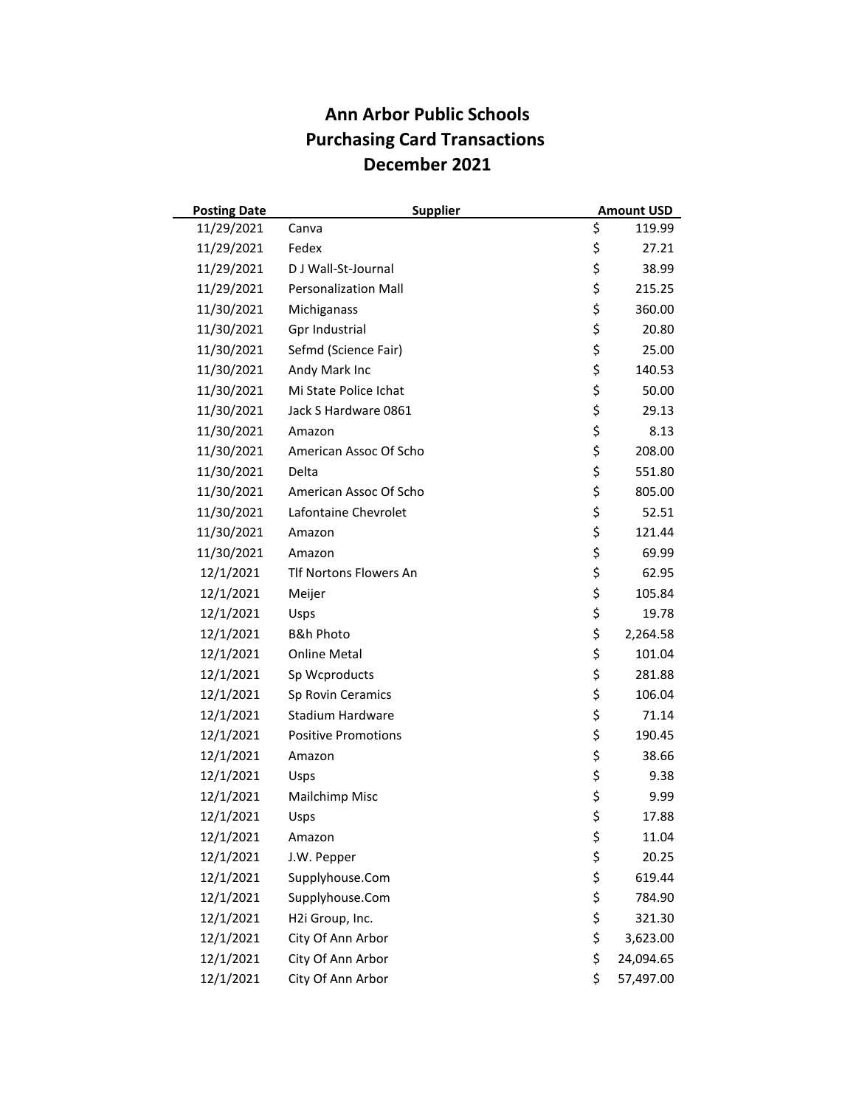| <b>Posting Date</b> | <b>Supplier</b>               | <b>Amount USD</b> |
|---------------------|-------------------------------|-------------------|
| 11/29/2021          | Canva                         | \$<br>119.99      |
| 11/29/2021          | Fedex                         | \$<br>27.21       |
| 11/29/2021          | D J Wall-St-Journal           | \$<br>38.99       |
| 11/29/2021          | <b>Personalization Mall</b>   | \$<br>215.25      |
| 11/30/2021          | Michiganass                   | \$<br>360.00      |
| 11/30/2021          | Gpr Industrial                | \$<br>20.80       |
| 11/30/2021          | Sefmd (Science Fair)          | \$<br>25.00       |
| 11/30/2021          | Andy Mark Inc                 | \$<br>140.53      |
| 11/30/2021          | Mi State Police Ichat         | \$<br>50.00       |
| 11/30/2021          | Jack S Hardware 0861          | \$<br>29.13       |
| 11/30/2021          | Amazon                        | \$<br>8.13        |
| 11/30/2021          | American Assoc Of Scho        | \$<br>208.00      |
| 11/30/2021          | Delta                         | \$<br>551.80      |
| 11/30/2021          | American Assoc Of Scho        | \$<br>805.00      |
| 11/30/2021          | Lafontaine Chevrolet          | \$<br>52.51       |
| 11/30/2021          | Amazon                        | \$<br>121.44      |
| 11/30/2021          | Amazon                        | \$<br>69.99       |
| 12/1/2021           | <b>Tlf Nortons Flowers An</b> | \$<br>62.95       |
| 12/1/2021           | Meijer                        | \$<br>105.84      |
| 12/1/2021           | Usps                          | \$<br>19.78       |
| 12/1/2021           | <b>B&amp;h Photo</b>          | \$<br>2,264.58    |
| 12/1/2021           | <b>Online Metal</b>           | \$<br>101.04      |
| 12/1/2021           | Sp Wcproducts                 | \$<br>281.88      |
| 12/1/2021           | Sp Rovin Ceramics             | \$<br>106.04      |
| 12/1/2021           | Stadium Hardware              | \$<br>71.14       |
| 12/1/2021           | <b>Positive Promotions</b>    | \$<br>190.45      |
| 12/1/2021           | Amazon                        | \$<br>38.66       |
| 12/1/2021           | Usps                          | \$<br>9.38        |
| 12/1/2021           | Mailchimp Misc                | \$<br>9.99        |
| 12/1/2021           | Usps                          | \$<br>17.88       |
| 12/1/2021           | Amazon                        | \$<br>11.04       |
| 12/1/2021           | J.W. Pepper                   | \$<br>20.25       |
| 12/1/2021           | Supplyhouse.Com               | \$<br>619.44      |
| 12/1/2021           | Supplyhouse.Com               | \$<br>784.90      |
| 12/1/2021           | H2i Group, Inc.               | \$<br>321.30      |
| 12/1/2021           | City Of Ann Arbor             | \$<br>3,623.00    |
| 12/1/2021           | City Of Ann Arbor             | \$<br>24,094.65   |
| 12/1/2021           | City Of Ann Arbor             | \$<br>57,497.00   |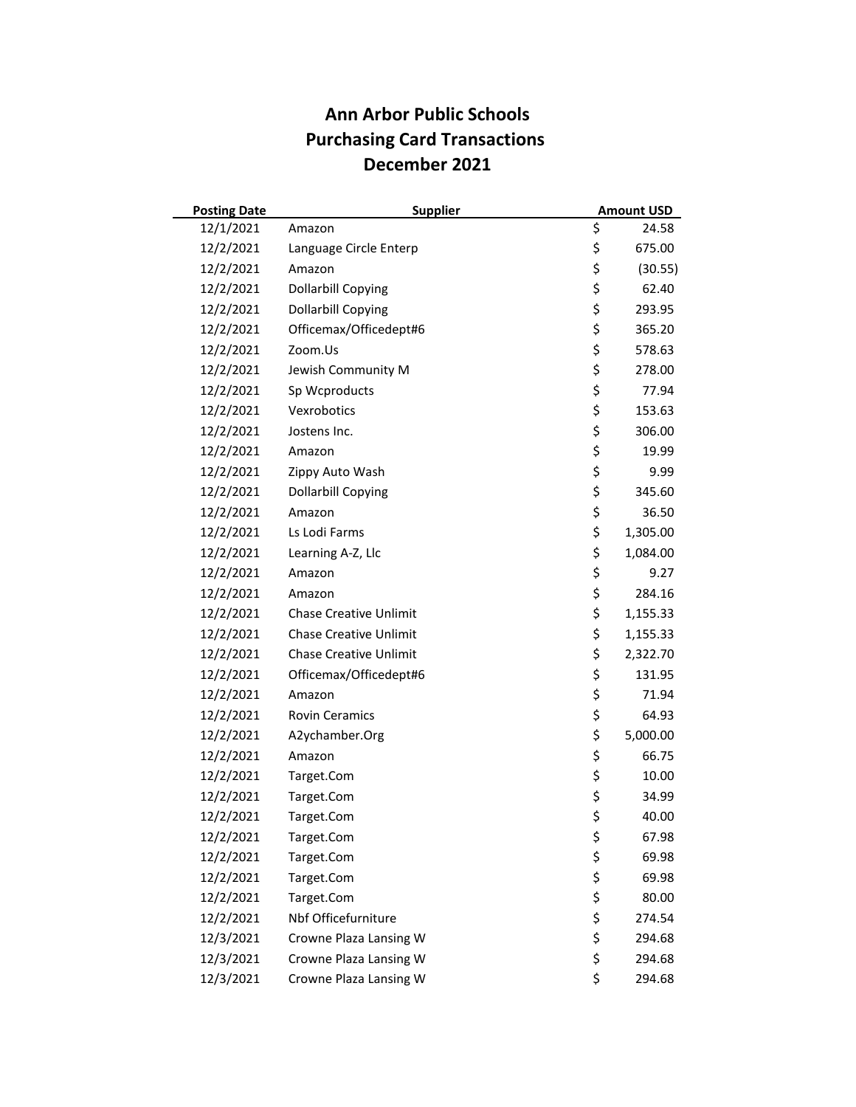| <b>Posting Date</b> | <b>Supplier</b>               | <b>Amount USD</b> |
|---------------------|-------------------------------|-------------------|
| 12/1/2021           | Amazon                        | \$<br>24.58       |
| 12/2/2021           | Language Circle Enterp        | \$<br>675.00      |
| 12/2/2021           | Amazon                        | \$<br>(30.55)     |
| 12/2/2021           | <b>Dollarbill Copying</b>     | \$<br>62.40       |
| 12/2/2021           | <b>Dollarbill Copying</b>     | \$<br>293.95      |
| 12/2/2021           | Officemax/Officedept#6        | \$<br>365.20      |
| 12/2/2021           | Zoom.Us                       | \$<br>578.63      |
| 12/2/2021           | Jewish Community M            | \$<br>278.00      |
| 12/2/2021           | Sp Wcproducts                 | \$<br>77.94       |
| 12/2/2021           | Vexrobotics                   | \$<br>153.63      |
| 12/2/2021           | Jostens Inc.                  | \$<br>306.00      |
| 12/2/2021           | Amazon                        | \$<br>19.99       |
| 12/2/2021           | Zippy Auto Wash               | \$<br>9.99        |
| 12/2/2021           | <b>Dollarbill Copying</b>     | \$<br>345.60      |
| 12/2/2021           | Amazon                        | \$<br>36.50       |
| 12/2/2021           | Ls Lodi Farms                 | \$<br>1,305.00    |
| 12/2/2021           | Learning A-Z, Llc             | \$<br>1,084.00    |
| 12/2/2021           | Amazon                        | \$<br>9.27        |
| 12/2/2021           | Amazon                        | \$<br>284.16      |
| 12/2/2021           | <b>Chase Creative Unlimit</b> | \$<br>1,155.33    |
| 12/2/2021           | <b>Chase Creative Unlimit</b> | \$<br>1,155.33    |
| 12/2/2021           | <b>Chase Creative Unlimit</b> | \$<br>2,322.70    |
| 12/2/2021           | Officemax/Officedept#6        | \$<br>131.95      |
| 12/2/2021           | Amazon                        | \$<br>71.94       |
| 12/2/2021           | <b>Rovin Ceramics</b>         | \$<br>64.93       |
| 12/2/2021           | A2ychamber.Org                | \$<br>5,000.00    |
| 12/2/2021           | Amazon                        | \$<br>66.75       |
| 12/2/2021           | Target.Com                    | \$<br>10.00       |
| 12/2/2021           | Target.Com                    | \$<br>34.99       |
| 12/2/2021           | Target.Com                    | \$<br>40.00       |
| 12/2/2021           | Target.Com                    | \$<br>67.98       |
| 12/2/2021           | Target.Com                    | \$<br>69.98       |
| 12/2/2021           | Target.Com                    | \$<br>69.98       |
| 12/2/2021           | Target.Com                    | \$<br>80.00       |
| 12/2/2021           | Nbf Officefurniture           | \$<br>274.54      |
| 12/3/2021           | Crowne Plaza Lansing W        | \$<br>294.68      |
| 12/3/2021           | Crowne Plaza Lansing W        | \$<br>294.68      |
| 12/3/2021           | Crowne Plaza Lansing W        | \$<br>294.68      |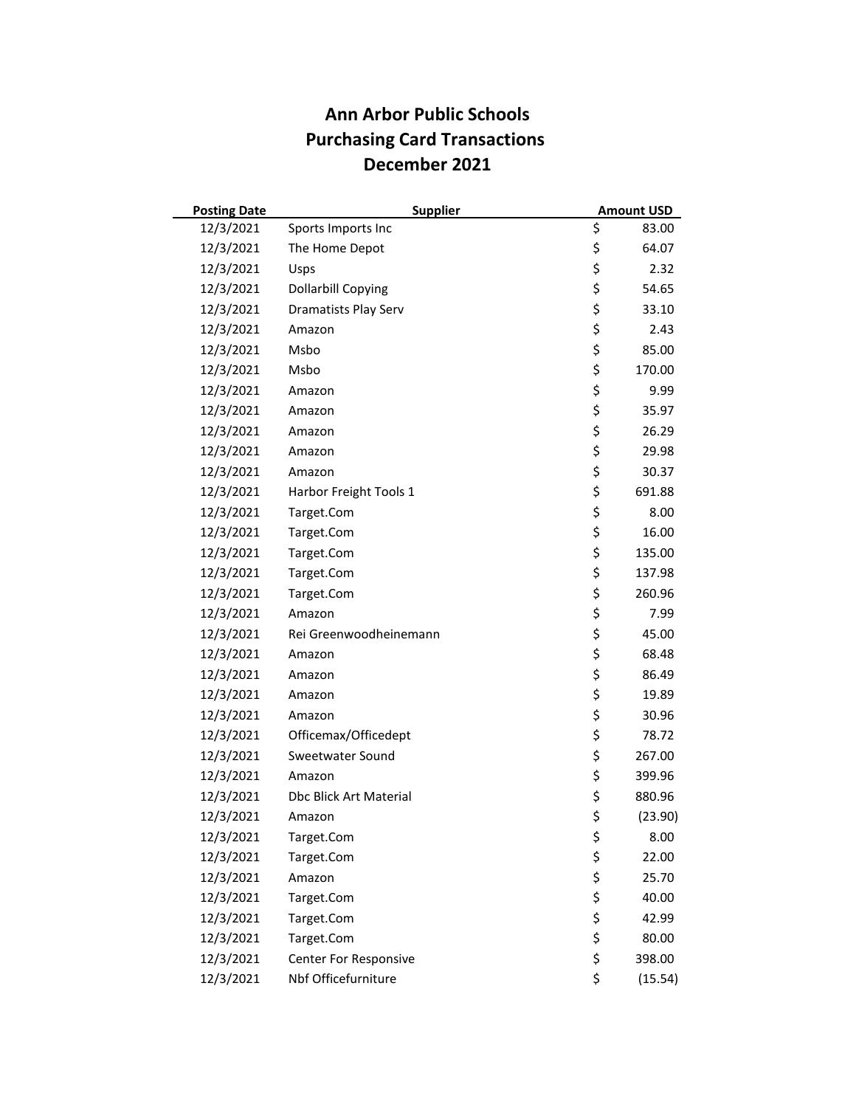| <b>Posting Date</b> | <b>Supplier</b>               | <b>Amount USD</b> |
|---------------------|-------------------------------|-------------------|
| 12/3/2021           | Sports Imports Inc            | \$<br>83.00       |
| 12/3/2021           | The Home Depot                | \$<br>64.07       |
| 12/3/2021           | Usps                          | \$<br>2.32        |
| 12/3/2021           | <b>Dollarbill Copying</b>     | \$<br>54.65       |
| 12/3/2021           | Dramatists Play Serv          | \$<br>33.10       |
| 12/3/2021           | Amazon                        | \$<br>2.43        |
| 12/3/2021           | Msbo                          | \$<br>85.00       |
| 12/3/2021           | Msbo                          | \$<br>170.00      |
| 12/3/2021           | Amazon                        | \$<br>9.99        |
| 12/3/2021           | Amazon                        | \$<br>35.97       |
| 12/3/2021           | Amazon                        | \$<br>26.29       |
| 12/3/2021           | Amazon                        | \$<br>29.98       |
| 12/3/2021           | Amazon                        | \$<br>30.37       |
| 12/3/2021           | Harbor Freight Tools 1        | \$<br>691.88      |
| 12/3/2021           | Target.Com                    | \$<br>8.00        |
| 12/3/2021           | Target.Com                    | \$<br>16.00       |
| 12/3/2021           | Target.Com                    | \$<br>135.00      |
| 12/3/2021           | Target.Com                    | \$<br>137.98      |
| 12/3/2021           | Target.Com                    | \$<br>260.96      |
| 12/3/2021           | Amazon                        | \$<br>7.99        |
| 12/3/2021           | Rei Greenwoodheinemann        | \$<br>45.00       |
| 12/3/2021           | Amazon                        | \$<br>68.48       |
| 12/3/2021           | Amazon                        | \$<br>86.49       |
| 12/3/2021           | Amazon                        | \$<br>19.89       |
| 12/3/2021           | Amazon                        | \$<br>30.96       |
| 12/3/2021           | Officemax/Officedept          | \$<br>78.72       |
| 12/3/2021           | Sweetwater Sound              | \$<br>267.00      |
| 12/3/2021           | Amazon                        | \$<br>399.96      |
| 12/3/2021           | <b>Dbc Blick Art Material</b> | \$<br>880.96      |
| 12/3/2021           | Amazon                        | \$<br>(23.90)     |
| 12/3/2021           | Target.Com                    | \$<br>8.00        |
| 12/3/2021           | Target.Com                    | \$<br>22.00       |
| 12/3/2021           | Amazon                        | \$<br>25.70       |
| 12/3/2021           | Target.Com                    | \$<br>40.00       |
| 12/3/2021           | Target.Com                    | \$<br>42.99       |
| 12/3/2021           | Target.Com                    | \$<br>80.00       |
| 12/3/2021           | Center For Responsive         | \$<br>398.00      |
| 12/3/2021           | Nbf Officefurniture           | \$<br>(15.54)     |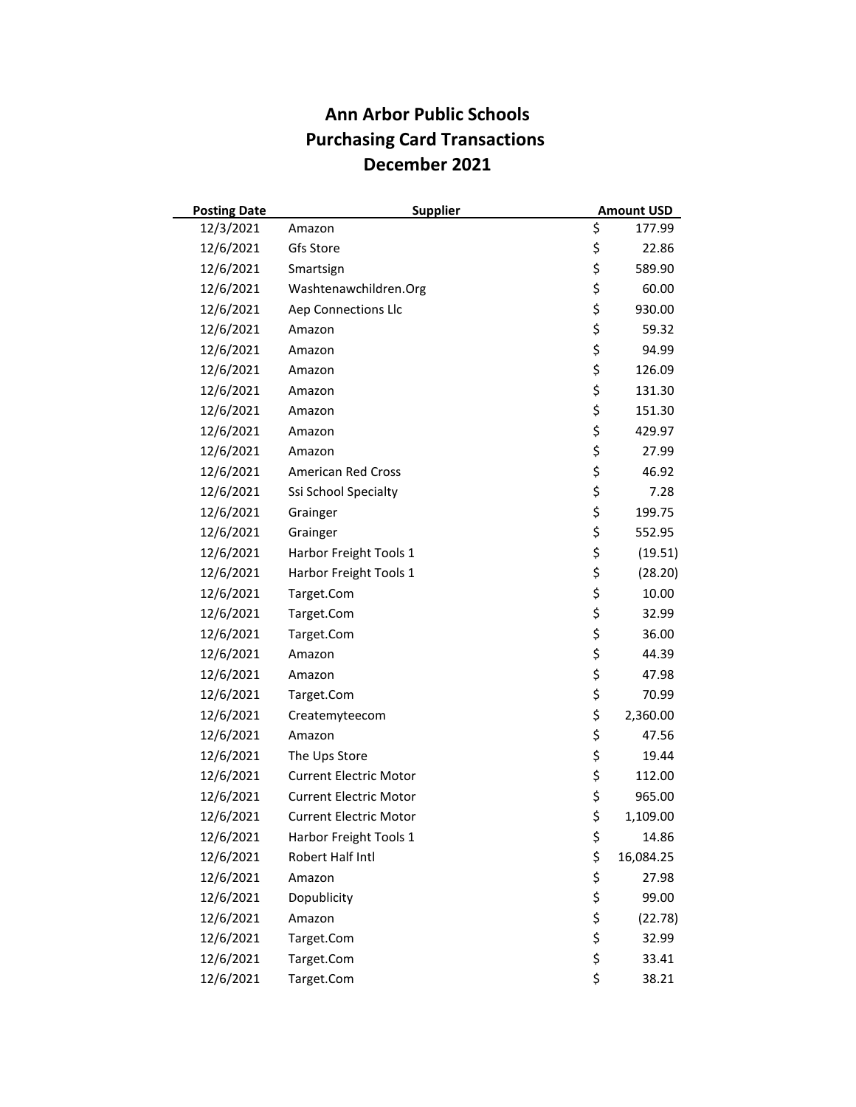| <b>Posting Date</b> | <b>Supplier</b>               | <b>Amount USD</b> |
|---------------------|-------------------------------|-------------------|
| 12/3/2021           | Amazon                        | \$<br>177.99      |
| 12/6/2021           | Gfs Store                     | \$<br>22.86       |
| 12/6/2021           | Smartsign                     | \$<br>589.90      |
| 12/6/2021           | Washtenawchildren.Org         | \$<br>60.00       |
| 12/6/2021           | Aep Connections Llc           | \$<br>930.00      |
| 12/6/2021           | Amazon                        | \$<br>59.32       |
| 12/6/2021           | Amazon                        | \$<br>94.99       |
| 12/6/2021           | Amazon                        | \$<br>126.09      |
| 12/6/2021           | Amazon                        | \$<br>131.30      |
| 12/6/2021           | Amazon                        | \$<br>151.30      |
| 12/6/2021           | Amazon                        | \$<br>429.97      |
| 12/6/2021           | Amazon                        | \$<br>27.99       |
| 12/6/2021           | <b>American Red Cross</b>     | \$<br>46.92       |
| 12/6/2021           | Ssi School Specialty          | \$<br>7.28        |
| 12/6/2021           | Grainger                      | \$<br>199.75      |
| 12/6/2021           | Grainger                      | \$<br>552.95      |
| 12/6/2021           | Harbor Freight Tools 1        | \$<br>(19.51)     |
| 12/6/2021           | Harbor Freight Tools 1        | \$<br>(28.20)     |
| 12/6/2021           | Target.Com                    | \$<br>10.00       |
| 12/6/2021           | Target.Com                    | \$<br>32.99       |
| 12/6/2021           | Target.Com                    | \$<br>36.00       |
| 12/6/2021           | Amazon                        | \$<br>44.39       |
| 12/6/2021           | Amazon                        | \$<br>47.98       |
| 12/6/2021           | Target.Com                    | \$<br>70.99       |
| 12/6/2021           | Createmyteecom                | \$<br>2,360.00    |
| 12/6/2021           | Amazon                        | \$<br>47.56       |
| 12/6/2021           | The Ups Store                 | \$<br>19.44       |
| 12/6/2021           | <b>Current Electric Motor</b> | \$<br>112.00      |
| 12/6/2021           | <b>Current Electric Motor</b> | \$<br>965.00      |
| 12/6/2021           | <b>Current Electric Motor</b> | \$<br>1,109.00    |
| 12/6/2021           | Harbor Freight Tools 1        | \$<br>14.86       |
| 12/6/2021           | Robert Half Intl              | \$<br>16,084.25   |
| 12/6/2021           | Amazon                        | \$<br>27.98       |
| 12/6/2021           | Dopublicity                   | \$<br>99.00       |
| 12/6/2021           | Amazon                        | \$<br>(22.78)     |
| 12/6/2021           | Target.Com                    | \$<br>32.99       |
| 12/6/2021           | Target.Com                    | \$<br>33.41       |
| 12/6/2021           | Target.Com                    | \$<br>38.21       |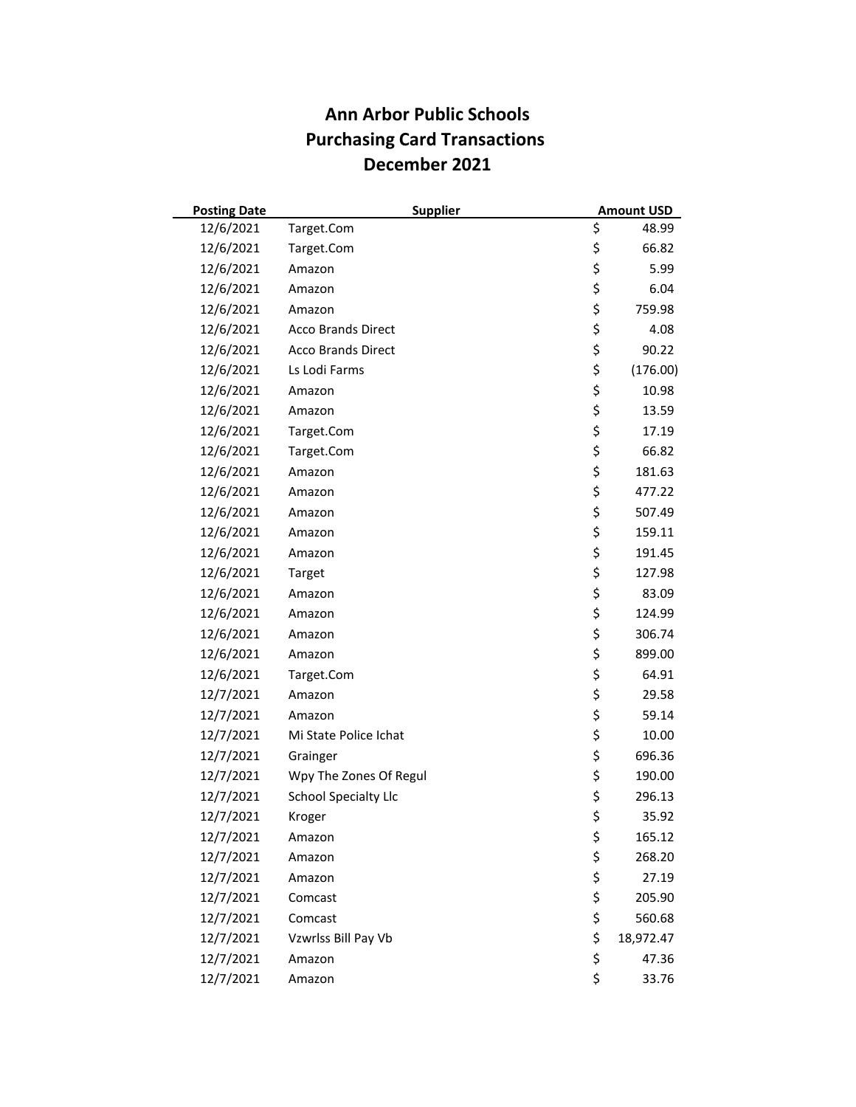| <b>Posting Date</b> |                             | <b>Supplier</b> | <b>Amount USD</b> |
|---------------------|-----------------------------|-----------------|-------------------|
| 12/6/2021           | Target.Com                  | \$              | 48.99             |
| 12/6/2021           | Target.Com                  | \$              | 66.82             |
| 12/6/2021           | Amazon                      | \$              | 5.99              |
| 12/6/2021           | Amazon                      | \$              | 6.04              |
| 12/6/2021           | Amazon                      | \$              | 759.98            |
| 12/6/2021           | <b>Acco Brands Direct</b>   | \$              | 4.08              |
| 12/6/2021           | <b>Acco Brands Direct</b>   | \$              | 90.22             |
| 12/6/2021           | Ls Lodi Farms               | \$              | (176.00)          |
| 12/6/2021           | Amazon                      | \$              | 10.98             |
| 12/6/2021           | Amazon                      | \$              | 13.59             |
| 12/6/2021           | Target.Com                  | \$              | 17.19             |
| 12/6/2021           | Target.Com                  | \$              | 66.82             |
| 12/6/2021           | Amazon                      | \$              | 181.63            |
| 12/6/2021           | Amazon                      | \$              | 477.22            |
| 12/6/2021           | Amazon                      | \$              | 507.49            |
| 12/6/2021           | Amazon                      | \$              | 159.11            |
| 12/6/2021           | Amazon                      | \$              | 191.45            |
| 12/6/2021           | Target                      | \$              | 127.98            |
| 12/6/2021           | Amazon                      | \$              | 83.09             |
| 12/6/2021           | Amazon                      | \$              | 124.99            |
| 12/6/2021           | Amazon                      | \$              | 306.74            |
| 12/6/2021           | Amazon                      | \$              | 899.00            |
| 12/6/2021           | Target.Com                  | \$              | 64.91             |
| 12/7/2021           | Amazon                      | \$              | 29.58             |
| 12/7/2021           | Amazon                      | \$              | 59.14             |
| 12/7/2021           | Mi State Police Ichat       | \$              | 10.00             |
| 12/7/2021           | Grainger                    | \$              | 696.36            |
| 12/7/2021           | Wpy The Zones Of Regul      | \$              | 190.00            |
| 12/7/2021           | <b>School Specialty Llc</b> | \$              | 296.13            |
| 12/7/2021           | Kroger                      | \$              | 35.92             |
| 12/7/2021           | Amazon                      | \$              | 165.12            |
| 12/7/2021           | Amazon                      | \$              | 268.20            |
| 12/7/2021           | Amazon                      | \$              | 27.19             |
| 12/7/2021           | Comcast                     | \$              | 205.90            |
| 12/7/2021           | Comcast                     | \$              | 560.68            |
| 12/7/2021           | Vzwrlss Bill Pay Vb         | \$              | 18,972.47         |
| 12/7/2021           | Amazon                      | \$              | 47.36             |
| 12/7/2021           | Amazon                      | \$              | 33.76             |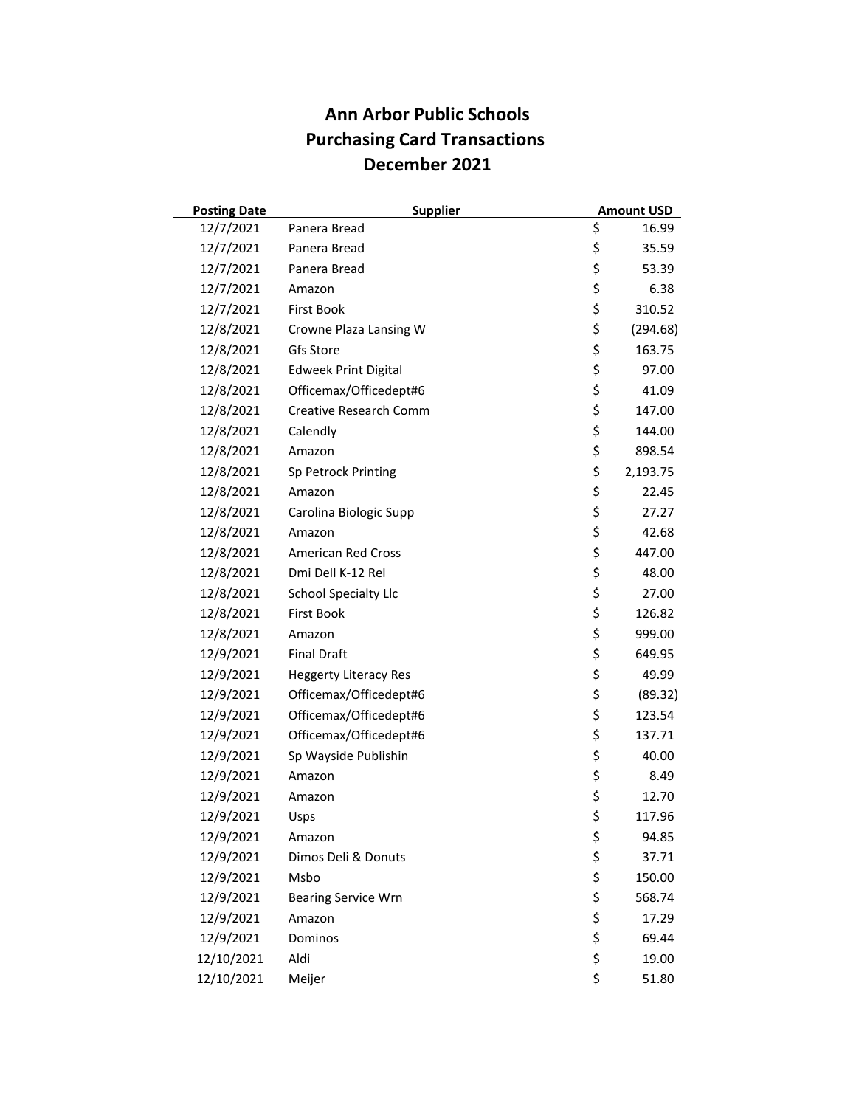| <b>Posting Date</b> | <b>Supplier</b>              | <b>Amount USD</b> |
|---------------------|------------------------------|-------------------|
| 12/7/2021           | Panera Bread                 | \$<br>16.99       |
| 12/7/2021           | Panera Bread                 | \$<br>35.59       |
| 12/7/2021           | Panera Bread                 | \$<br>53.39       |
| 12/7/2021           | Amazon                       | \$<br>6.38        |
| 12/7/2021           | <b>First Book</b>            | \$<br>310.52      |
| 12/8/2021           | Crowne Plaza Lansing W       | \$<br>(294.68)    |
| 12/8/2021           | Gfs Store                    | \$<br>163.75      |
| 12/8/2021           | <b>Edweek Print Digital</b>  | \$<br>97.00       |
| 12/8/2021           | Officemax/Officedept#6       | \$<br>41.09       |
| 12/8/2021           | Creative Research Comm       | \$<br>147.00      |
| 12/8/2021           | Calendly                     | \$<br>144.00      |
| 12/8/2021           | Amazon                       | \$<br>898.54      |
| 12/8/2021           | Sp Petrock Printing          | \$<br>2,193.75    |
| 12/8/2021           | Amazon                       | \$<br>22.45       |
| 12/8/2021           | Carolina Biologic Supp       | \$<br>27.27       |
| 12/8/2021           | Amazon                       | \$<br>42.68       |
| 12/8/2021           | <b>American Red Cross</b>    | \$<br>447.00      |
| 12/8/2021           | Dmi Dell K-12 Rel            | \$<br>48.00       |
| 12/8/2021           | <b>School Specialty Llc</b>  | \$<br>27.00       |
| 12/8/2021           | <b>First Book</b>            | \$<br>126.82      |
| 12/8/2021           | Amazon                       | \$<br>999.00      |
| 12/9/2021           | <b>Final Draft</b>           | \$<br>649.95      |
| 12/9/2021           | <b>Heggerty Literacy Res</b> | \$<br>49.99       |
| 12/9/2021           | Officemax/Officedept#6       | \$<br>(89.32)     |
| 12/9/2021           | Officemax/Officedept#6       | \$<br>123.54      |
| 12/9/2021           | Officemax/Officedept#6       | \$<br>137.71      |
| 12/9/2021           | Sp Wayside Publishin         | \$<br>40.00       |
| 12/9/2021           | Amazon                       | \$<br>8.49        |
| 12/9/2021           | Amazon                       | \$<br>12.70       |
| 12/9/2021           | Usps                         | \$<br>117.96      |
| 12/9/2021           | Amazon                       | \$<br>94.85       |
| 12/9/2021           | Dimos Deli & Donuts          | \$<br>37.71       |
| 12/9/2021           | Msbo                         | \$<br>150.00      |
| 12/9/2021           | <b>Bearing Service Wrn</b>   | \$<br>568.74      |
| 12/9/2021           | Amazon                       | \$<br>17.29       |
| 12/9/2021           | Dominos                      | \$<br>69.44       |
| 12/10/2021          | Aldi                         | \$<br>19.00       |
| 12/10/2021          | Meijer                       | \$<br>51.80       |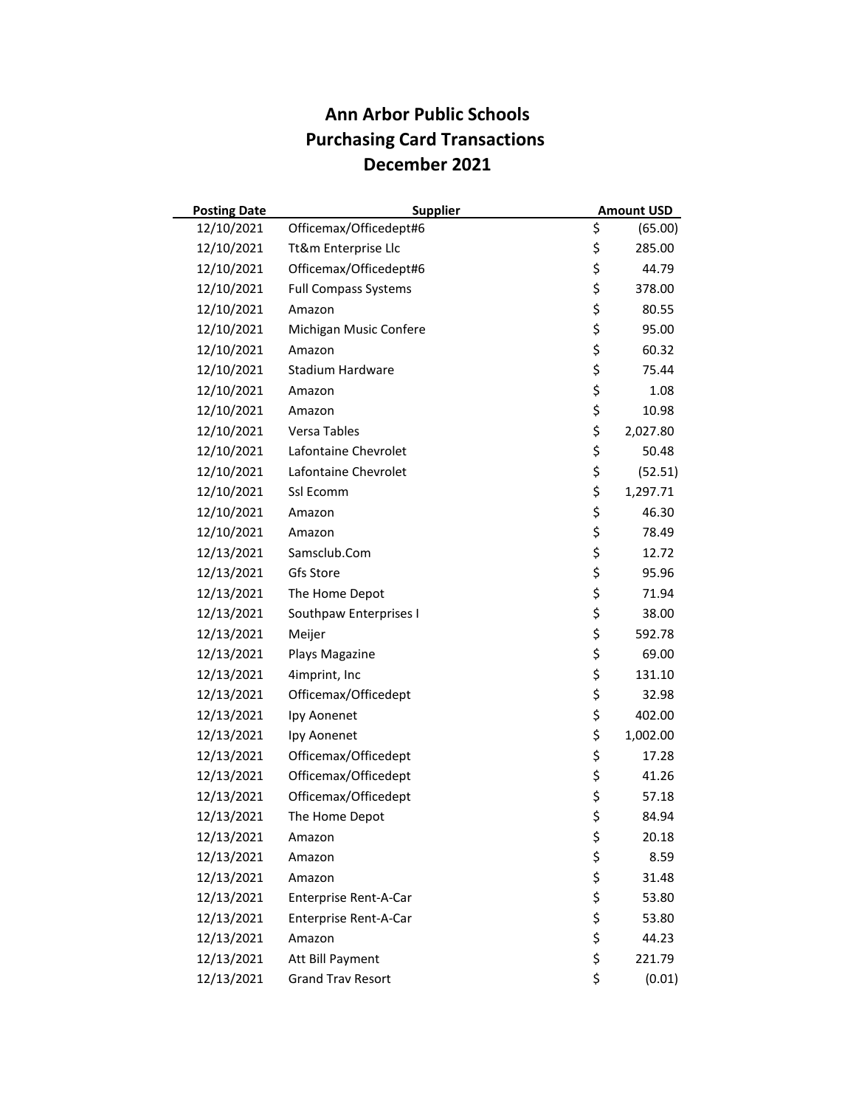| <b>Posting Date</b> | <b>Supplier</b>             | <b>Amount USD</b> |
|---------------------|-----------------------------|-------------------|
| 12/10/2021          | Officemax/Officedept#6      | \$<br>(65.00)     |
| 12/10/2021          | Tt&m Enterprise Llc         | \$<br>285.00      |
| 12/10/2021          | Officemax/Officedept#6      | \$<br>44.79       |
| 12/10/2021          | <b>Full Compass Systems</b> | \$<br>378.00      |
| 12/10/2021          | Amazon                      | \$<br>80.55       |
| 12/10/2021          | Michigan Music Confere      | \$<br>95.00       |
| 12/10/2021          | Amazon                      | \$<br>60.32       |
| 12/10/2021          | <b>Stadium Hardware</b>     | \$<br>75.44       |
| 12/10/2021          | Amazon                      | \$<br>1.08        |
| 12/10/2021          | Amazon                      | \$<br>10.98       |
| 12/10/2021          | Versa Tables                | \$<br>2,027.80    |
| 12/10/2021          | Lafontaine Chevrolet        | \$<br>50.48       |
| 12/10/2021          | Lafontaine Chevrolet        | \$<br>(52.51)     |
| 12/10/2021          | Ssl Ecomm                   | \$<br>1,297.71    |
| 12/10/2021          | Amazon                      | \$<br>46.30       |
| 12/10/2021          | Amazon                      | \$<br>78.49       |
| 12/13/2021          | Samsclub.Com                | \$<br>12.72       |
| 12/13/2021          | Gfs Store                   | \$<br>95.96       |
| 12/13/2021          | The Home Depot              | \$<br>71.94       |
| 12/13/2021          | Southpaw Enterprises I      | \$<br>38.00       |
| 12/13/2021          | Meijer                      | \$<br>592.78      |
| 12/13/2021          | Plays Magazine              | \$<br>69.00       |
| 12/13/2021          | 4imprint, Inc               | \$<br>131.10      |
| 12/13/2021          | Officemax/Officedept        | \$<br>32.98       |
| 12/13/2021          | Ipy Aonenet                 | \$<br>402.00      |
| 12/13/2021          | Ipy Aonenet                 | \$<br>1,002.00    |
| 12/13/2021          | Officemax/Officedept        | \$<br>17.28       |
| 12/13/2021          | Officemax/Officedept        | \$<br>41.26       |
| 12/13/2021          | Officemax/Officedept        | \$<br>57.18       |
| 12/13/2021          | The Home Depot              | \$<br>84.94       |
| 12/13/2021          | Amazon                      | \$<br>20.18       |
| 12/13/2021          | Amazon                      | \$<br>8.59        |
| 12/13/2021          | Amazon                      | \$<br>31.48       |
| 12/13/2021          | Enterprise Rent-A-Car       | \$<br>53.80       |
| 12/13/2021          | Enterprise Rent-A-Car       | \$<br>53.80       |
| 12/13/2021          | Amazon                      | \$<br>44.23       |
| 12/13/2021          | Att Bill Payment            | \$<br>221.79      |
| 12/13/2021          | <b>Grand Trav Resort</b>    | \$<br>(0.01)      |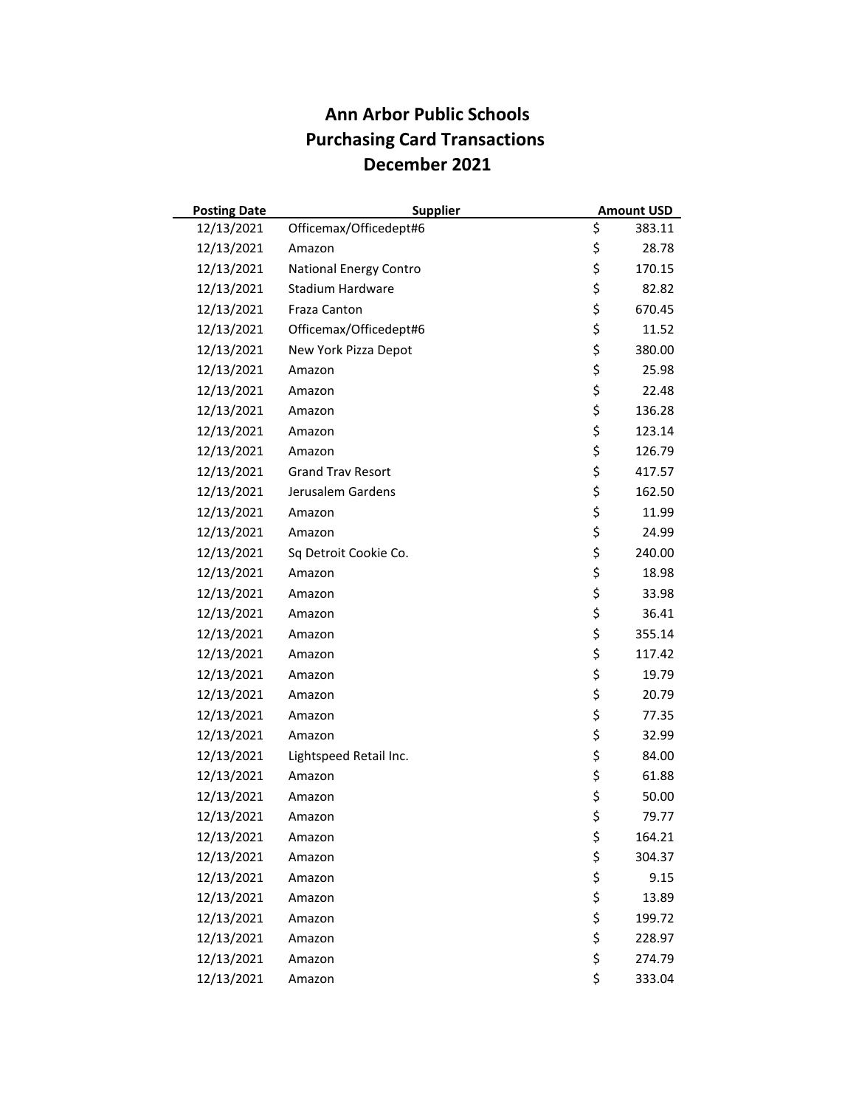| <b>Posting Date</b> | <b>Supplier</b>          | <b>Amount USD</b> |
|---------------------|--------------------------|-------------------|
| 12/13/2021          | Officemax/Officedept#6   | \$<br>383.11      |
| 12/13/2021          | Amazon                   | \$<br>28.78       |
| 12/13/2021          | National Energy Contro   | \$<br>170.15      |
| 12/13/2021          | Stadium Hardware         | \$<br>82.82       |
| 12/13/2021          | Fraza Canton             | \$<br>670.45      |
| 12/13/2021          | Officemax/Officedept#6   | \$<br>11.52       |
| 12/13/2021          | New York Pizza Depot     | \$<br>380.00      |
| 12/13/2021          | Amazon                   | \$<br>25.98       |
| 12/13/2021          | Amazon                   | \$<br>22.48       |
| 12/13/2021          | Amazon                   | \$<br>136.28      |
| 12/13/2021          | Amazon                   | \$<br>123.14      |
| 12/13/2021          | Amazon                   | \$<br>126.79      |
| 12/13/2021          | <b>Grand Trav Resort</b> | \$<br>417.57      |
| 12/13/2021          | Jerusalem Gardens        | \$<br>162.50      |
| 12/13/2021          | Amazon                   | \$<br>11.99       |
| 12/13/2021          | Amazon                   | \$<br>24.99       |
| 12/13/2021          | Sq Detroit Cookie Co.    | \$<br>240.00      |
| 12/13/2021          | Amazon                   | \$<br>18.98       |
| 12/13/2021          | Amazon                   | \$<br>33.98       |
| 12/13/2021          | Amazon                   | \$<br>36.41       |
| 12/13/2021          | Amazon                   | \$<br>355.14      |
| 12/13/2021          | Amazon                   | \$<br>117.42      |
| 12/13/2021          | Amazon                   | \$<br>19.79       |
| 12/13/2021          | Amazon                   | \$<br>20.79       |
| 12/13/2021          | Amazon                   | \$<br>77.35       |
| 12/13/2021          | Amazon                   | \$<br>32.99       |
| 12/13/2021          | Lightspeed Retail Inc.   | \$<br>84.00       |
| 12/13/2021          | Amazon                   | \$<br>61.88       |
| 12/13/2021          | Amazon                   | \$<br>50.00       |
| 12/13/2021          | Amazon                   | \$<br>79.77       |
| 12/13/2021          | Amazon                   | \$<br>164.21      |
| 12/13/2021          | Amazon                   | \$<br>304.37      |
| 12/13/2021          | Amazon                   | \$<br>9.15        |
| 12/13/2021          | Amazon                   | \$<br>13.89       |
| 12/13/2021          | Amazon                   | \$<br>199.72      |
| 12/13/2021          | Amazon                   | \$<br>228.97      |
| 12/13/2021          | Amazon                   | \$<br>274.79      |
| 12/13/2021          | Amazon                   | \$<br>333.04      |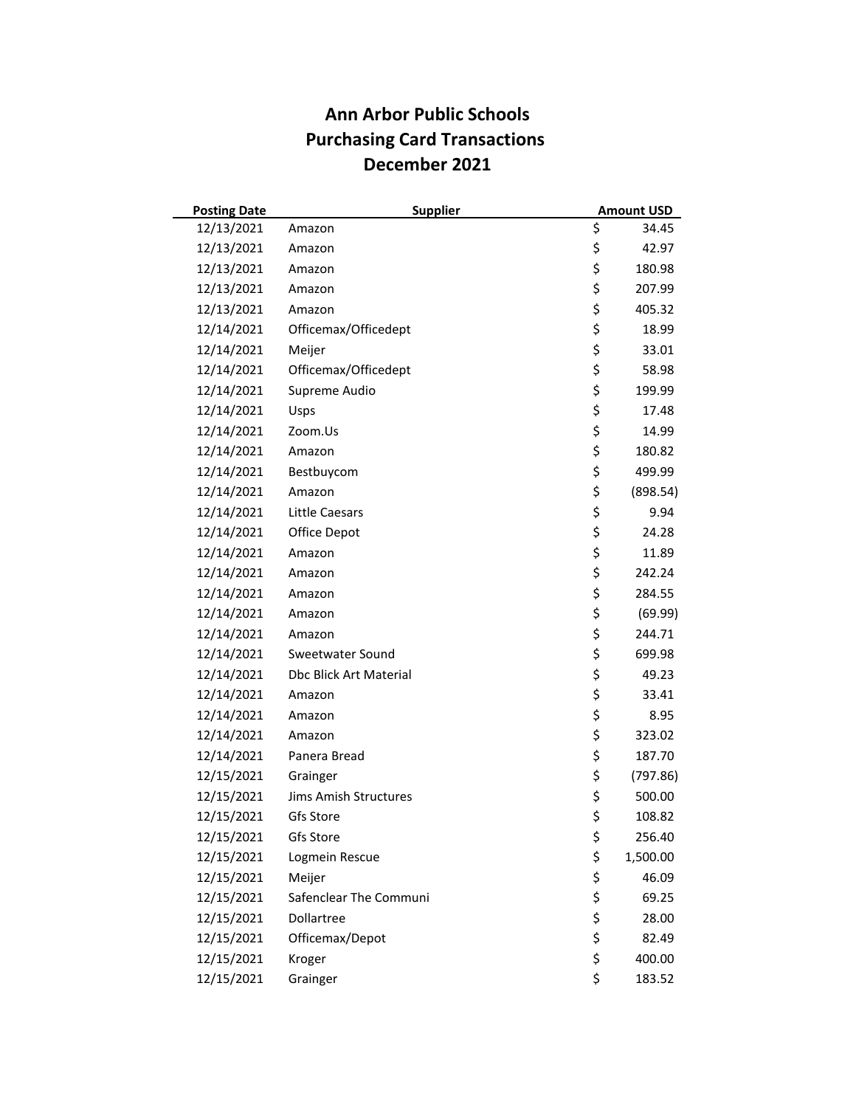| <b>Posting Date</b> | <b>Supplier</b>        | <b>Amount USD</b> |
|---------------------|------------------------|-------------------|
| 12/13/2021          | Amazon                 | \$<br>34.45       |
| 12/13/2021          | Amazon                 | \$<br>42.97       |
| 12/13/2021          | Amazon                 | \$<br>180.98      |
| 12/13/2021          | Amazon                 | \$<br>207.99      |
| 12/13/2021          | Amazon                 | \$<br>405.32      |
| 12/14/2021          | Officemax/Officedept   | \$<br>18.99       |
| 12/14/2021          | Meijer                 | \$<br>33.01       |
| 12/14/2021          | Officemax/Officedept   | \$<br>58.98       |
| 12/14/2021          | Supreme Audio          | \$<br>199.99      |
| 12/14/2021          | Usps                   | \$<br>17.48       |
| 12/14/2021          | Zoom.Us                | \$<br>14.99       |
| 12/14/2021          | Amazon                 | \$<br>180.82      |
| 12/14/2021          | Bestbuycom             | \$<br>499.99      |
| 12/14/2021          | Amazon                 | \$<br>(898.54)    |
| 12/14/2021          | <b>Little Caesars</b>  | \$<br>9.94        |
| 12/14/2021          | Office Depot           | \$<br>24.28       |
| 12/14/2021          | Amazon                 | \$<br>11.89       |
| 12/14/2021          | Amazon                 | \$<br>242.24      |
| 12/14/2021          | Amazon                 | \$<br>284.55      |
| 12/14/2021          | Amazon                 | \$<br>(69.99)     |
| 12/14/2021          | Amazon                 | \$<br>244.71      |
| 12/14/2021          | Sweetwater Sound       | \$<br>699.98      |
| 12/14/2021          | Dbc Blick Art Material | \$<br>49.23       |
| 12/14/2021          | Amazon                 | \$<br>33.41       |
| 12/14/2021          | Amazon                 | \$<br>8.95        |
| 12/14/2021          | Amazon                 | \$<br>323.02      |
| 12/14/2021          | Panera Bread           | \$<br>187.70      |
| 12/15/2021          | Grainger               | \$<br>(797.86)    |
| 12/15/2021          | Jims Amish Structures  | \$<br>500.00      |
| 12/15/2021          | Gfs Store              | \$<br>108.82      |
| 12/15/2021          | Gfs Store              | \$<br>256.40      |
| 12/15/2021          | Logmein Rescue         | \$<br>1,500.00    |
| 12/15/2021          | Meijer                 | \$<br>46.09       |
| 12/15/2021          | Safenclear The Communi | \$<br>69.25       |
| 12/15/2021          | Dollartree             | \$<br>28.00       |
| 12/15/2021          | Officemax/Depot        | \$<br>82.49       |
| 12/15/2021          | Kroger                 | \$<br>400.00      |
| 12/15/2021          | Grainger               | \$<br>183.52      |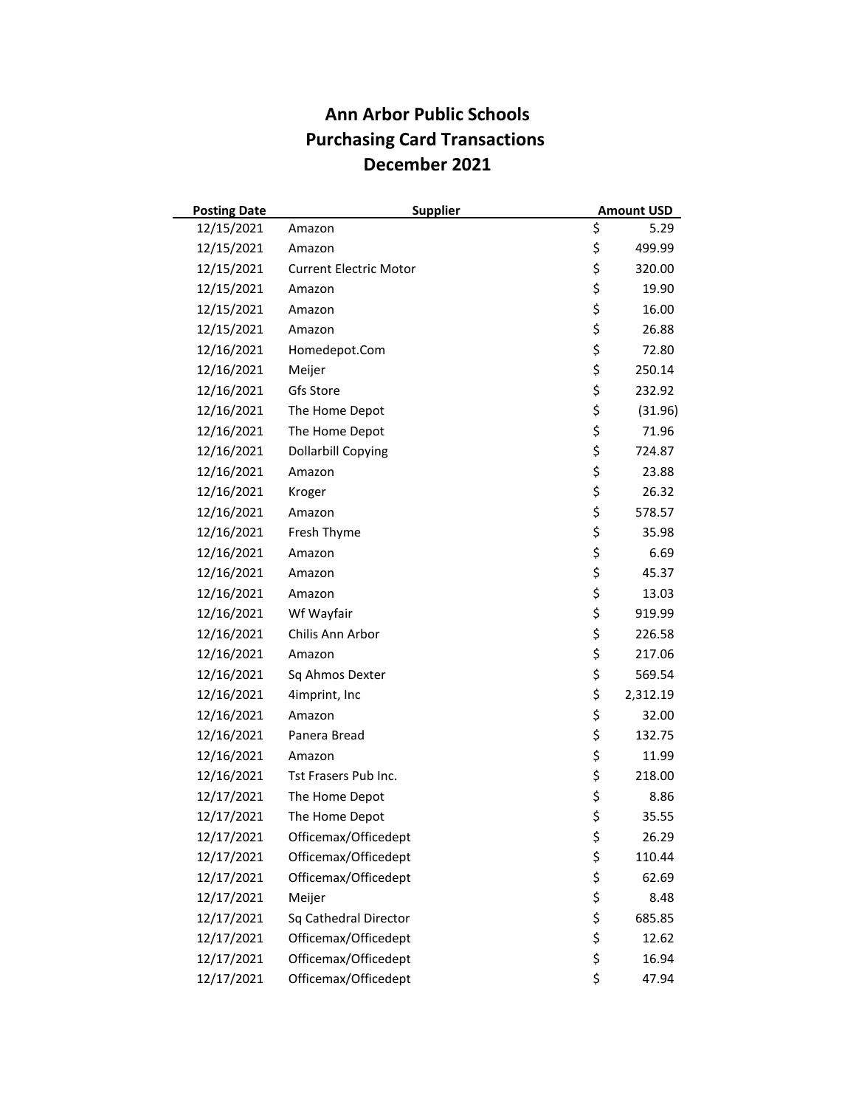| <b>Posting Date</b> | <b>Supplier</b>               | <b>Amount USD</b> |
|---------------------|-------------------------------|-------------------|
| 12/15/2021          | Amazon                        | \$<br>5.29        |
| 12/15/2021          | Amazon                        | \$<br>499.99      |
| 12/15/2021          | <b>Current Electric Motor</b> | \$<br>320.00      |
| 12/15/2021          | Amazon                        | \$<br>19.90       |
| 12/15/2021          | Amazon                        | \$<br>16.00       |
| 12/15/2021          | Amazon                        | \$<br>26.88       |
| 12/16/2021          | Homedepot.Com                 | \$<br>72.80       |
| 12/16/2021          | Meijer                        | \$<br>250.14      |
| 12/16/2021          | Gfs Store                     | \$<br>232.92      |
| 12/16/2021          | The Home Depot                | \$<br>(31.96)     |
| 12/16/2021          | The Home Depot                | \$<br>71.96       |
| 12/16/2021          | <b>Dollarbill Copying</b>     | \$<br>724.87      |
| 12/16/2021          | Amazon                        | \$<br>23.88       |
| 12/16/2021          | Kroger                        | \$<br>26.32       |
| 12/16/2021          | Amazon                        | \$<br>578.57      |
| 12/16/2021          | Fresh Thyme                   | \$<br>35.98       |
| 12/16/2021          | Amazon                        | \$<br>6.69        |
| 12/16/2021          | Amazon                        | \$<br>45.37       |
| 12/16/2021          | Amazon                        | \$<br>13.03       |
| 12/16/2021          | Wf Wayfair                    | \$<br>919.99      |
| 12/16/2021          | Chilis Ann Arbor              | \$<br>226.58      |
| 12/16/2021          | Amazon                        | \$<br>217.06      |
| 12/16/2021          | Sq Ahmos Dexter               | \$<br>569.54      |
| 12/16/2021          | 4imprint, Inc                 | \$<br>2,312.19    |
| 12/16/2021          | Amazon                        | \$<br>32.00       |
| 12/16/2021          | Panera Bread                  | \$<br>132.75      |
| 12/16/2021          | Amazon                        | \$<br>11.99       |
| 12/16/2021          | Tst Frasers Pub Inc.          | \$<br>218.00      |
| 12/17/2021          | The Home Depot                | \$<br>8.86        |
| 12/17/2021          | The Home Depot                | \$<br>35.55       |
| 12/17/2021          | Officemax/Officedept          | \$<br>26.29       |
| 12/17/2021          | Officemax/Officedept          | \$<br>110.44      |
| 12/17/2021          | Officemax/Officedept          | \$<br>62.69       |
| 12/17/2021          | Meijer                        | \$<br>8.48        |
| 12/17/2021          | Sq Cathedral Director         | \$<br>685.85      |
| 12/17/2021          | Officemax/Officedept          | \$<br>12.62       |
| 12/17/2021          | Officemax/Officedept          | \$<br>16.94       |
| 12/17/2021          | Officemax/Officedept          | \$<br>47.94       |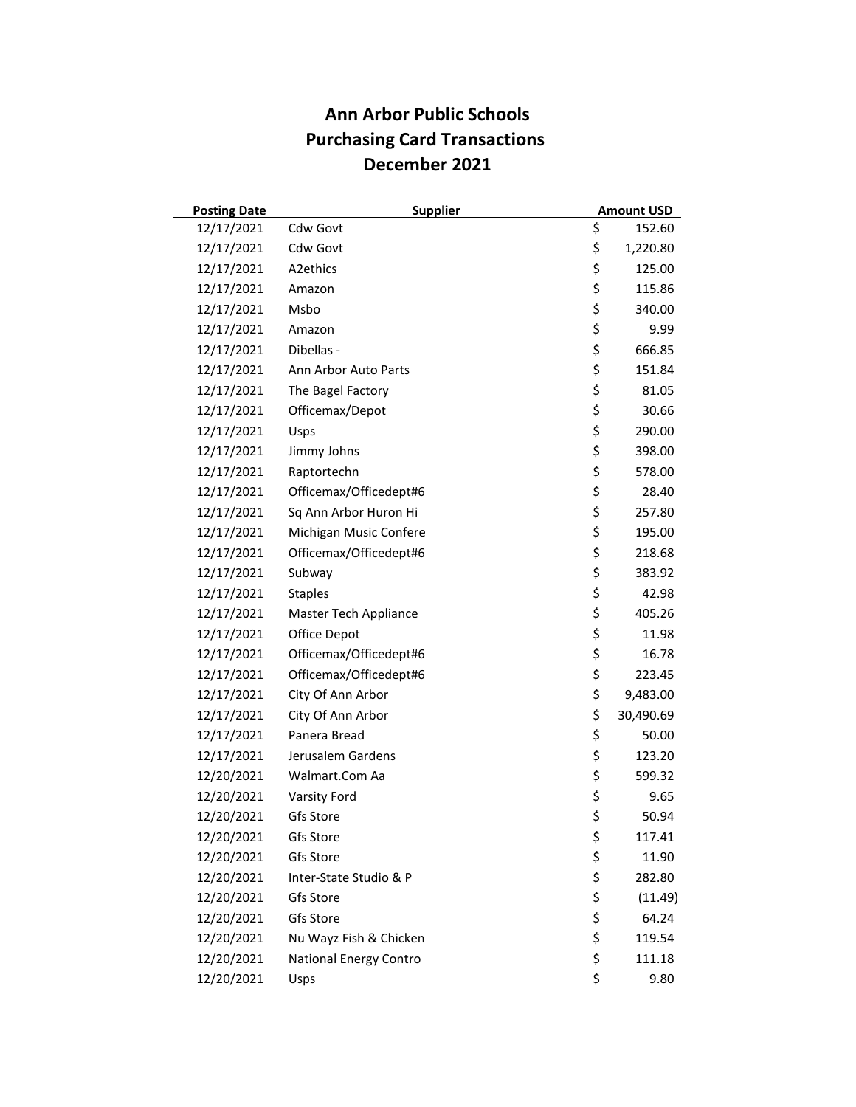| <b>Posting Date</b> | <b>Supplier</b>        | <b>Amount USD</b> |
|---------------------|------------------------|-------------------|
| 12/17/2021          | Cdw Govt               | \$<br>152.60      |
| 12/17/2021          | Cdw Govt               | \$<br>1,220.80    |
| 12/17/2021          | A2ethics               | \$<br>125.00      |
| 12/17/2021          | Amazon                 | \$<br>115.86      |
| 12/17/2021          | Msbo                   | \$<br>340.00      |
| 12/17/2021          | Amazon                 | \$<br>9.99        |
| 12/17/2021          | Dibellas -             | \$<br>666.85      |
| 12/17/2021          | Ann Arbor Auto Parts   | \$<br>151.84      |
| 12/17/2021          | The Bagel Factory      | \$<br>81.05       |
| 12/17/2021          | Officemax/Depot        | \$<br>30.66       |
| 12/17/2021          | Usps                   | \$<br>290.00      |
| 12/17/2021          | Jimmy Johns            | \$<br>398.00      |
| 12/17/2021          | Raptortechn            | \$<br>578.00      |
| 12/17/2021          | Officemax/Officedept#6 | \$<br>28.40       |
| 12/17/2021          | Sq Ann Arbor Huron Hi  | \$<br>257.80      |
| 12/17/2021          | Michigan Music Confere | \$<br>195.00      |
| 12/17/2021          | Officemax/Officedept#6 | \$<br>218.68      |
| 12/17/2021          | Subway                 | \$<br>383.92      |
| 12/17/2021          | <b>Staples</b>         | \$<br>42.98       |
| 12/17/2021          | Master Tech Appliance  | \$<br>405.26      |
| 12/17/2021          | Office Depot           | \$<br>11.98       |
| 12/17/2021          | Officemax/Officedept#6 | \$<br>16.78       |
| 12/17/2021          | Officemax/Officedept#6 | \$<br>223.45      |
| 12/17/2021          | City Of Ann Arbor      | \$<br>9,483.00    |
| 12/17/2021          | City Of Ann Arbor      | \$<br>30,490.69   |
| 12/17/2021          | Panera Bread           | \$<br>50.00       |
| 12/17/2021          | Jerusalem Gardens      | \$<br>123.20      |
| 12/20/2021          | Walmart.Com Aa         | \$<br>599.32      |
| 12/20/2021          | Varsity Ford           | \$<br>9.65        |
| 12/20/2021          | Gfs Store              | \$<br>50.94       |
| 12/20/2021          | Gfs Store              | \$<br>117.41      |
| 12/20/2021          | Gfs Store              | \$<br>11.90       |
| 12/20/2021          | Inter-State Studio & P | \$<br>282.80      |
| 12/20/2021          | Gfs Store              | \$<br>(11.49)     |
| 12/20/2021          | Gfs Store              | \$<br>64.24       |
| 12/20/2021          | Nu Wayz Fish & Chicken | \$<br>119.54      |
| 12/20/2021          | National Energy Contro | \$<br>111.18      |
| 12/20/2021          | Usps                   | \$<br>9.80        |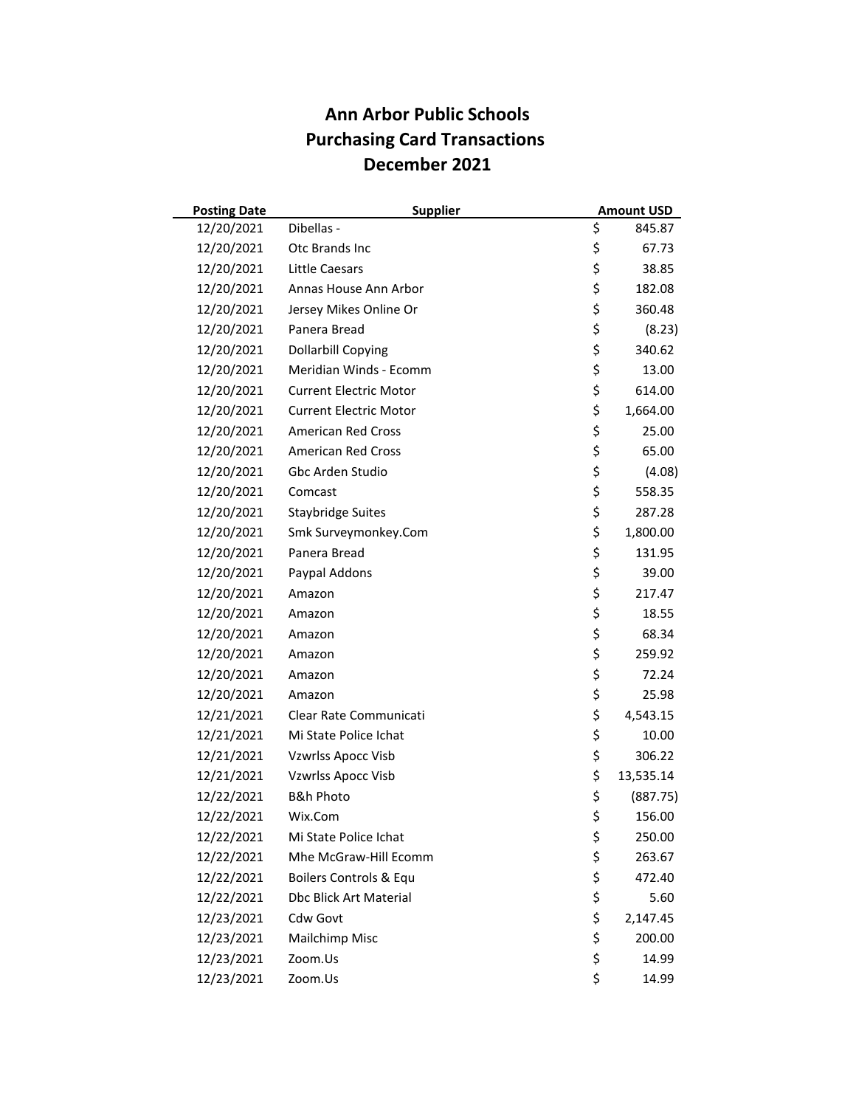| <b>Posting Date</b> | <b>Supplier</b>               | <b>Amount USD</b> |
|---------------------|-------------------------------|-------------------|
| 12/20/2021          | Dibellas -                    | \$<br>845.87      |
| 12/20/2021          | Otc Brands Inc                | \$<br>67.73       |
| 12/20/2021          | Little Caesars                | \$<br>38.85       |
| 12/20/2021          | Annas House Ann Arbor         | \$<br>182.08      |
| 12/20/2021          | Jersey Mikes Online Or        | \$<br>360.48      |
| 12/20/2021          | Panera Bread                  | \$<br>(8.23)      |
| 12/20/2021          | <b>Dollarbill Copying</b>     | \$<br>340.62      |
| 12/20/2021          | Meridian Winds - Ecomm        | \$<br>13.00       |
| 12/20/2021          | <b>Current Electric Motor</b> | \$<br>614.00      |
| 12/20/2021          | <b>Current Electric Motor</b> | \$<br>1,664.00    |
| 12/20/2021          | <b>American Red Cross</b>     | \$<br>25.00       |
| 12/20/2021          | <b>American Red Cross</b>     | \$<br>65.00       |
| 12/20/2021          | Gbc Arden Studio              | \$<br>(4.08)      |
| 12/20/2021          | Comcast                       | \$<br>558.35      |
| 12/20/2021          | <b>Staybridge Suites</b>      | \$<br>287.28      |
| 12/20/2021          | Smk Surveymonkey.Com          | \$<br>1,800.00    |
| 12/20/2021          | Panera Bread                  | \$<br>131.95      |
| 12/20/2021          | Paypal Addons                 | \$<br>39.00       |
| 12/20/2021          | Amazon                        | \$<br>217.47      |
| 12/20/2021          | Amazon                        | \$<br>18.55       |
| 12/20/2021          | Amazon                        | \$<br>68.34       |
| 12/20/2021          | Amazon                        | \$<br>259.92      |
| 12/20/2021          | Amazon                        | \$<br>72.24       |
| 12/20/2021          | Amazon                        | \$<br>25.98       |
| 12/21/2021          | Clear Rate Communicati        | \$<br>4,543.15    |
| 12/21/2021          | Mi State Police Ichat         | \$<br>10.00       |
| 12/21/2021          | <b>Vzwrlss Apocc Visb</b>     | \$<br>306.22      |
| 12/21/2021          | <b>Vzwrlss Apocc Visb</b>     | \$<br>13,535.14   |
| 12/22/2021          | <b>B&amp;h Photo</b>          | \$<br>(887.75)    |
| 12/22/2021          | Wix.Com                       | \$<br>156.00      |
| 12/22/2021          | Mi State Police Ichat         | \$<br>250.00      |
| 12/22/2021          | Mhe McGraw-Hill Ecomm         | \$<br>263.67      |
| 12/22/2021          | Boilers Controls & Equ        | \$<br>472.40      |
| 12/22/2021          | <b>Dbc Blick Art Material</b> | \$<br>5.60        |
| 12/23/2021          | Cdw Govt                      | \$<br>2,147.45    |
| 12/23/2021          | Mailchimp Misc                | \$<br>200.00      |
| 12/23/2021          | Zoom.Us                       | \$<br>14.99       |
| 12/23/2021          | Zoom.Us                       | \$<br>14.99       |